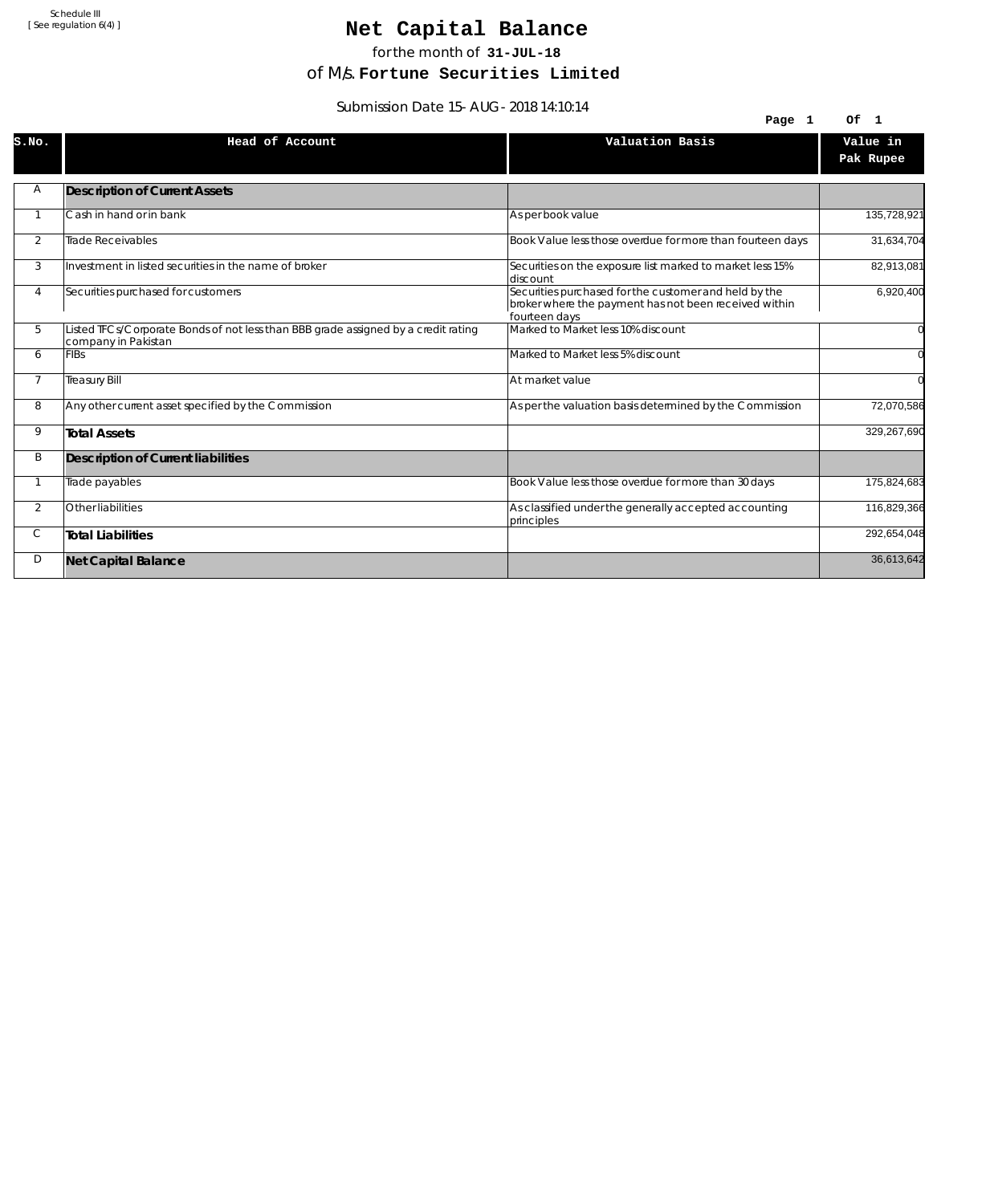## Net Capital Balance

for the month of **31-JUL-18**

of M/s. **Fortune Securities Limited**

Submission Date 15-AUG-2018 14:10:14

|                | $30011133101110010113 - A003 - 2010117.10.17$                                                             | Page 1                                                                                                                          | Of 1                  |
|----------------|-----------------------------------------------------------------------------------------------------------|---------------------------------------------------------------------------------------------------------------------------------|-----------------------|
| S.NO.          | Head of Account                                                                                           | Valuation Basis                                                                                                                 | Value in<br>Pak Rupee |
| Α              | <b>Description of Current Assets</b>                                                                      |                                                                                                                                 |                       |
|                | Cash in hand or in bank                                                                                   | As per book value                                                                                                               | 135,728,921           |
| $\overline{2}$ | Trade Receivables                                                                                         | Book Value less those overdue for more than fourteen days                                                                       | 31,634,704            |
| 3              | Investment in listed securities in the name of broker                                                     | Securities on the exposure list marked to market less 15%<br>ldiscount                                                          | 82,913,081            |
| 4              | Securities purchased for customers                                                                        | Securities purchased for the customer and held by the<br>broker where the payment has not been received within<br>fourteen days | 6,920,400             |
| 5              | Listed TFCs/Corporate Bonds of not less than BBB grade assigned by a credit rating<br>company in Pakistan | Marked to Market less 10% discount                                                                                              |                       |
| 6              | <b>FIBs</b>                                                                                               | Marked to Market less 5% discount                                                                                               |                       |
| $\overline{7}$ | <b>Treasury Bill</b>                                                                                      | At market value                                                                                                                 |                       |
| 8              | Any other current asset specified by the Commission                                                       | As per the valuation basis determined by the Commission                                                                         | 72,070,586            |
| 9              | <b>Total Assets</b>                                                                                       |                                                                                                                                 | 329,267,690           |
| Β              | Description of Current liabilities                                                                        |                                                                                                                                 |                       |
|                | Trade payables                                                                                            | Book Value less those overdue for more than 30 days                                                                             | 175,824,683           |
| $\overline{2}$ | Other liabilities                                                                                         | As classified under the generally accepted accounting<br>principles                                                             | 116,829,366           |
| С              | <b>Total Liabilities</b>                                                                                  |                                                                                                                                 | 292,654,048           |
| D              | <b>Net Capital Balance</b>                                                                                |                                                                                                                                 | 36,613,642            |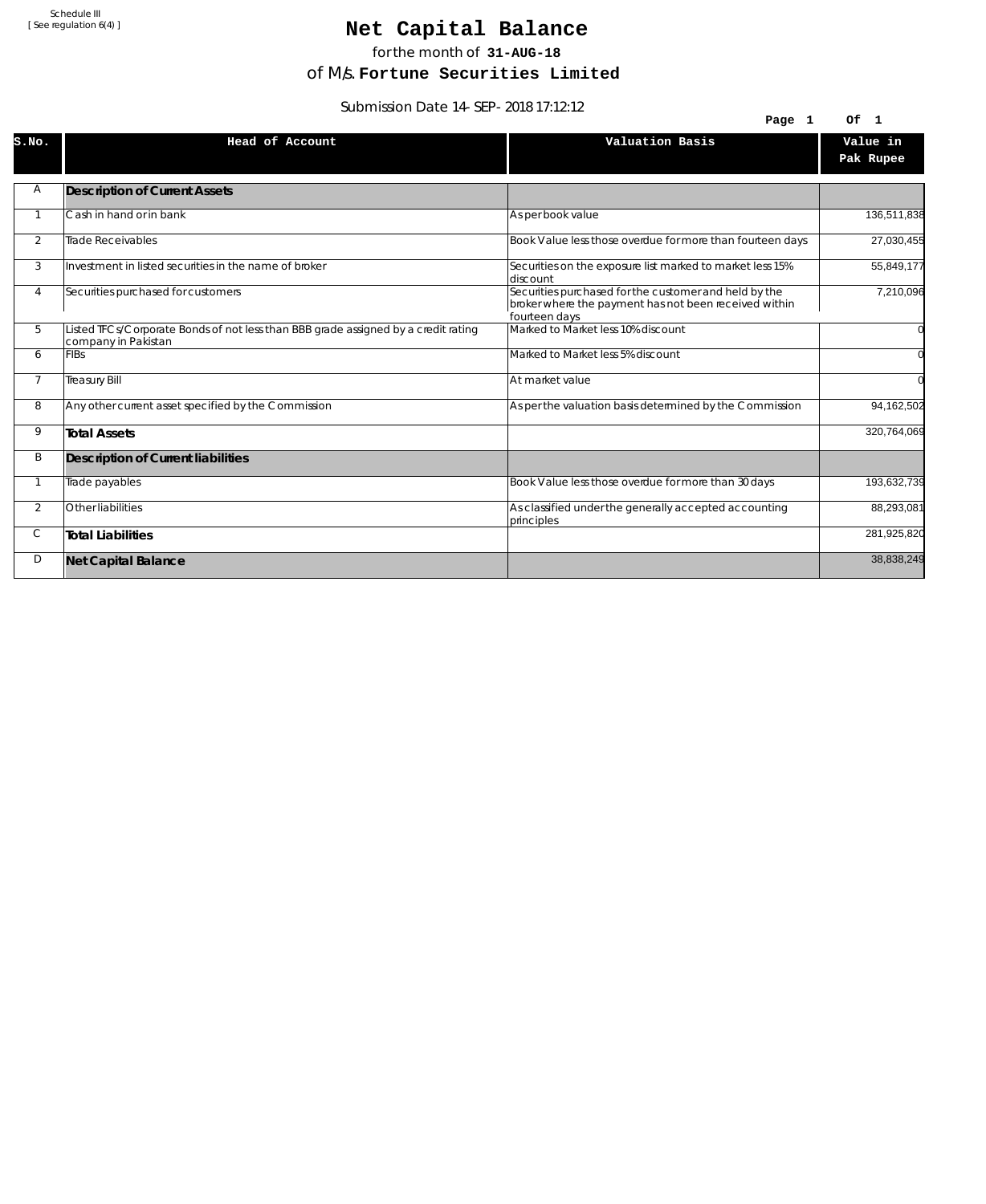# Net Capital Balance

for the month of **31-AUG-18**

of M/s. **Fortune Securities Limited**

Submission Date 14-SEP-2018 17:12:12

| 3001111331011 DATE 14-3LF-2010 17.12.12 |                                                                                                           |                                                                                                                                 |                       |  |
|-----------------------------------------|-----------------------------------------------------------------------------------------------------------|---------------------------------------------------------------------------------------------------------------------------------|-----------------------|--|
|                                         |                                                                                                           | Page 1                                                                                                                          | Of 1                  |  |
| S.NO.                                   | Head of Account                                                                                           | Valuation Basis                                                                                                                 | Value in<br>Pak Rupee |  |
| Α                                       | <b>Description of Current Assets</b>                                                                      |                                                                                                                                 |                       |  |
|                                         | Cash in hand or in bank                                                                                   | As per book value                                                                                                               | 136,511,838           |  |
| 2                                       | <b>Trade Receivables</b>                                                                                  | Book Value less those overdue for more than fourteen days                                                                       | 27,030,455            |  |
| 3                                       | Investment in listed securities in the name of broker                                                     | Securities on the exposure list marked to market less 15%<br>discount                                                           | 55,849,177            |  |
| 4                                       | Securities purchased for customers                                                                        | Securities purchased for the customer and held by the<br>broker where the payment has not been received within<br>fourteen days | 7,210,096             |  |
| 5                                       | Listed TFCs/Corporate Bonds of not less than BBB grade assigned by a credit rating<br>company in Pakistan | Marked to Market less 10% discount                                                                                              |                       |  |
| 6                                       | <b>FIBs</b>                                                                                               | Marked to Market less 5% discount                                                                                               |                       |  |
| $\overline{7}$                          | <b>Treasury Bill</b>                                                                                      | At market value                                                                                                                 |                       |  |
| 8                                       | Any other current asset specified by the Commission                                                       | As per the valuation basis determined by the Commission                                                                         | 94,162,502            |  |
| 9                                       | <b>Total Assets</b>                                                                                       |                                                                                                                                 | 320,764,069           |  |
| B                                       | Description of Current liabilities                                                                        |                                                                                                                                 |                       |  |
|                                         | Trade payables                                                                                            | Book Value less those overdue for more than 30 days                                                                             | 193,632,739           |  |
| 2                                       | Other liabilities                                                                                         | As classified under the generally accepted accounting<br>principles                                                             | 88,293,081            |  |
| С                                       | <b>Total Liabilities</b>                                                                                  |                                                                                                                                 | 281,925,820           |  |
| D                                       | <b>Net Capital Balance</b>                                                                                |                                                                                                                                 | 38,838,249            |  |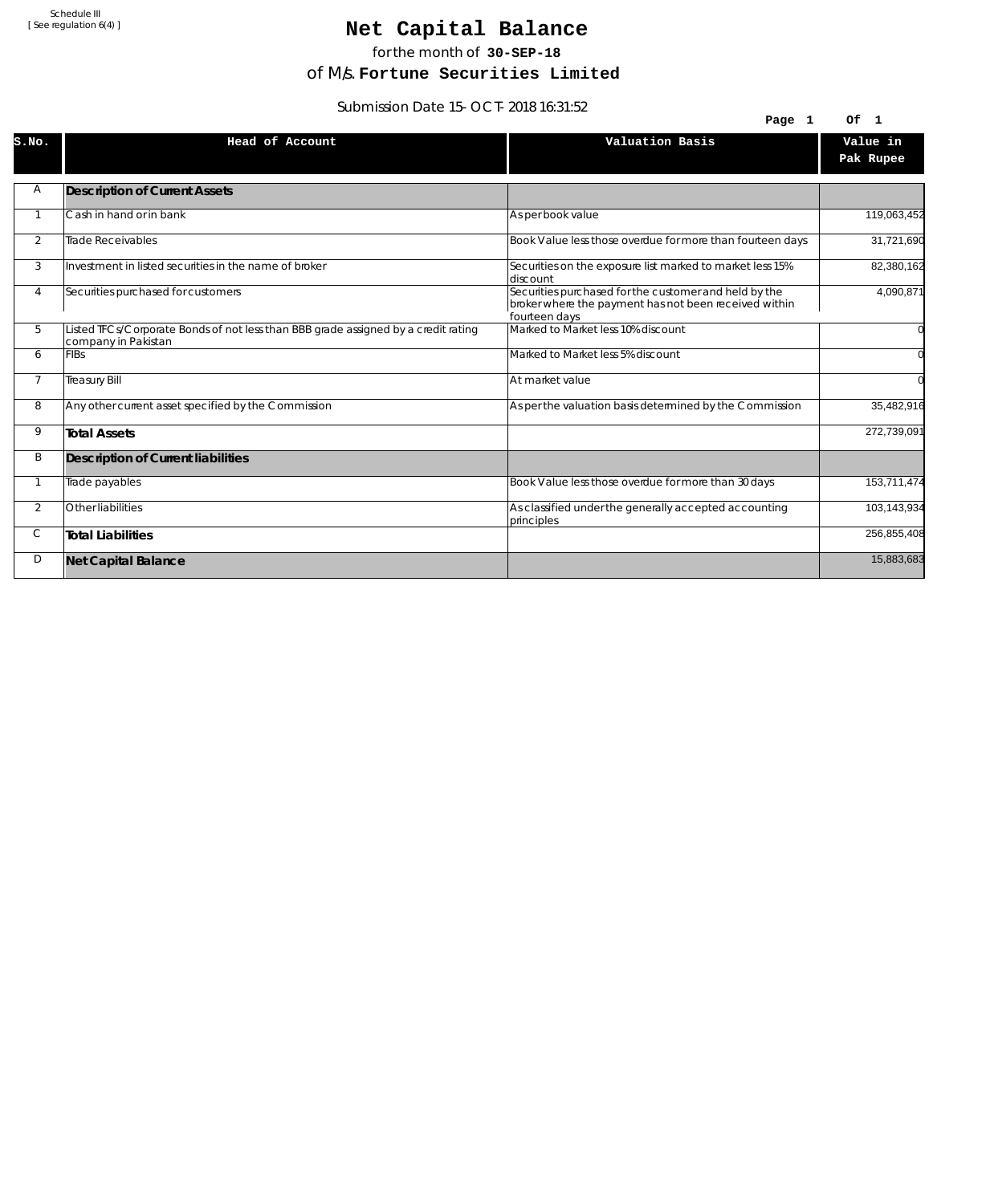## Net Capital Balance

for the month of **30-SEP-18**

of M/s. **Fortune Securities Limited**

Submission Date 15-OCT-2018 16:31:52

| 3001111331011 Date 13-OC1-2010 10.31.32 |                                                                                                           |                                                                                                                                 |                       |  |
|-----------------------------------------|-----------------------------------------------------------------------------------------------------------|---------------------------------------------------------------------------------------------------------------------------------|-----------------------|--|
|                                         |                                                                                                           | Page 1                                                                                                                          | Of 1                  |  |
| S.NO.                                   | Head of Account                                                                                           | Valuation Basis                                                                                                                 | Value in<br>Pak Rupee |  |
| Α                                       | <b>Description of Current Assets</b>                                                                      |                                                                                                                                 |                       |  |
|                                         | Cash in hand or in bank                                                                                   | As per book value                                                                                                               | 119,063,452           |  |
| 2                                       | Trade Receivables                                                                                         | Book Value less those overdue for more than fourteen days                                                                       | 31,721,690            |  |
| 3                                       | Investment in listed securities in the name of broker                                                     | Securities on the exposure list marked to market less 15%<br>discount                                                           | 82,380,162            |  |
| 4                                       | Securities purchased for customers                                                                        | Securities purchased for the customer and held by the<br>broker where the payment has not been received within<br>fourteen days | 4,090,871             |  |
| 5                                       | Listed TFCs/Corporate Bonds of not less than BBB grade assigned by a credit rating<br>company in Pakistan | Marked to Market less 10% discount                                                                                              |                       |  |
| 6                                       | <b>FIBs</b>                                                                                               | Marked to Market less 5% discount                                                                                               |                       |  |
| $\overline{7}$                          | <b>Treasury Bill</b>                                                                                      | At market value                                                                                                                 | $\Omega$              |  |
| 8                                       | Any other current asset specified by the Commission                                                       | As per the valuation basis determined by the Commission                                                                         | 35,482,916            |  |
| 9                                       | <b>Total Assets</b>                                                                                       |                                                                                                                                 | 272,739,091           |  |
| B                                       | Description of Current liabilities                                                                        |                                                                                                                                 |                       |  |
|                                         | Trade payables                                                                                            | Book Value less those overdue for more than 30 days                                                                             | 153,711,474           |  |
| $\overline{2}$                          | Other liabilities                                                                                         | As classified under the generally accepted accounting<br>principles                                                             | 103,143,934           |  |
| С                                       | <b>Total Liabilities</b>                                                                                  |                                                                                                                                 | 256,855,408           |  |
| D                                       | <b>Net Capital Balance</b>                                                                                |                                                                                                                                 | 15,883,683            |  |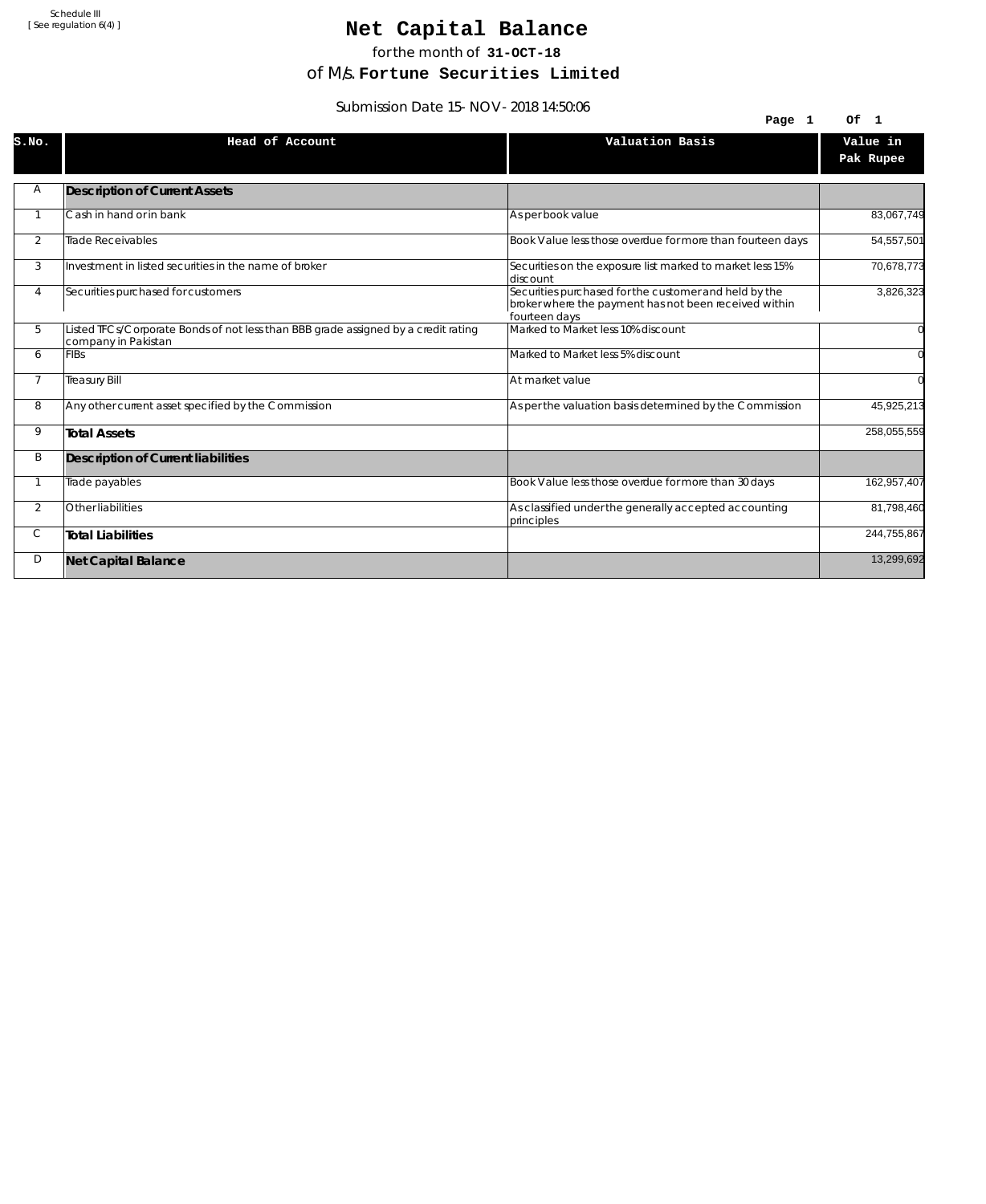## Net Capital Balance

for the month of **31-OCT-18**

of M/s. **Fortune Securities Limited**

Submission Date 15-NOV-2018 14:50:06

|                |                                                                                                           | Page 1                                                                                                                          | Of 1                  |
|----------------|-----------------------------------------------------------------------------------------------------------|---------------------------------------------------------------------------------------------------------------------------------|-----------------------|
| S.NO.          | Head of Account                                                                                           | Valuation Basis                                                                                                                 | Value in<br>Pak Rupee |
| Α              | <b>Description of Current Assets</b>                                                                      |                                                                                                                                 |                       |
| -1             | Cash in hand or in bank                                                                                   | As per book value                                                                                                               | 83,067,749            |
| $\overline{2}$ | <b>Trade Receivables</b>                                                                                  | Book Value less those overdue for more than fourteen days                                                                       | 54,557,501            |
| 3              | Investment in listed securities in the name of broker                                                     | Securities on the exposure list marked to market less 15%<br>discount                                                           | 70,678,773            |
| 4              | Securities purchased for customers                                                                        | Securities purchased for the customer and held by the<br>broker where the payment has not been received within<br>fourteen days | 3,826,323             |
| 5              | Listed TFCs/Corporate Bonds of not less than BBB grade assigned by a credit rating<br>company in Pakistan | Marked to Market less 10% discount                                                                                              |                       |
| 6              | <b>FIBs</b>                                                                                               | Marked to Market less 5% discount                                                                                               |                       |
| $\overline{7}$ | <b>Treasury Bill</b>                                                                                      | At market value                                                                                                                 |                       |
| 8              | Any other current asset specified by the Commission                                                       | As per the valuation basis determined by the Commission                                                                         | 45,925,213            |
| 9              | <b>Total Assets</b>                                                                                       |                                                                                                                                 | 258,055,559           |
| Β              | <b>Description of Current liabilities</b>                                                                 |                                                                                                                                 |                       |
| $\mathbf{1}$   | Trade payables                                                                                            | Book Value less those overdue for more than 30 days                                                                             | 162,957,407           |
| 2              | Other liabilities                                                                                         | As classified under the generally accepted accounting<br>principles                                                             | 81,798,460            |
| C              | <b>Total Liabilities</b>                                                                                  |                                                                                                                                 | 244,755,867           |
| D              | <b>Net Capital Balance</b>                                                                                |                                                                                                                                 | 13,299,692            |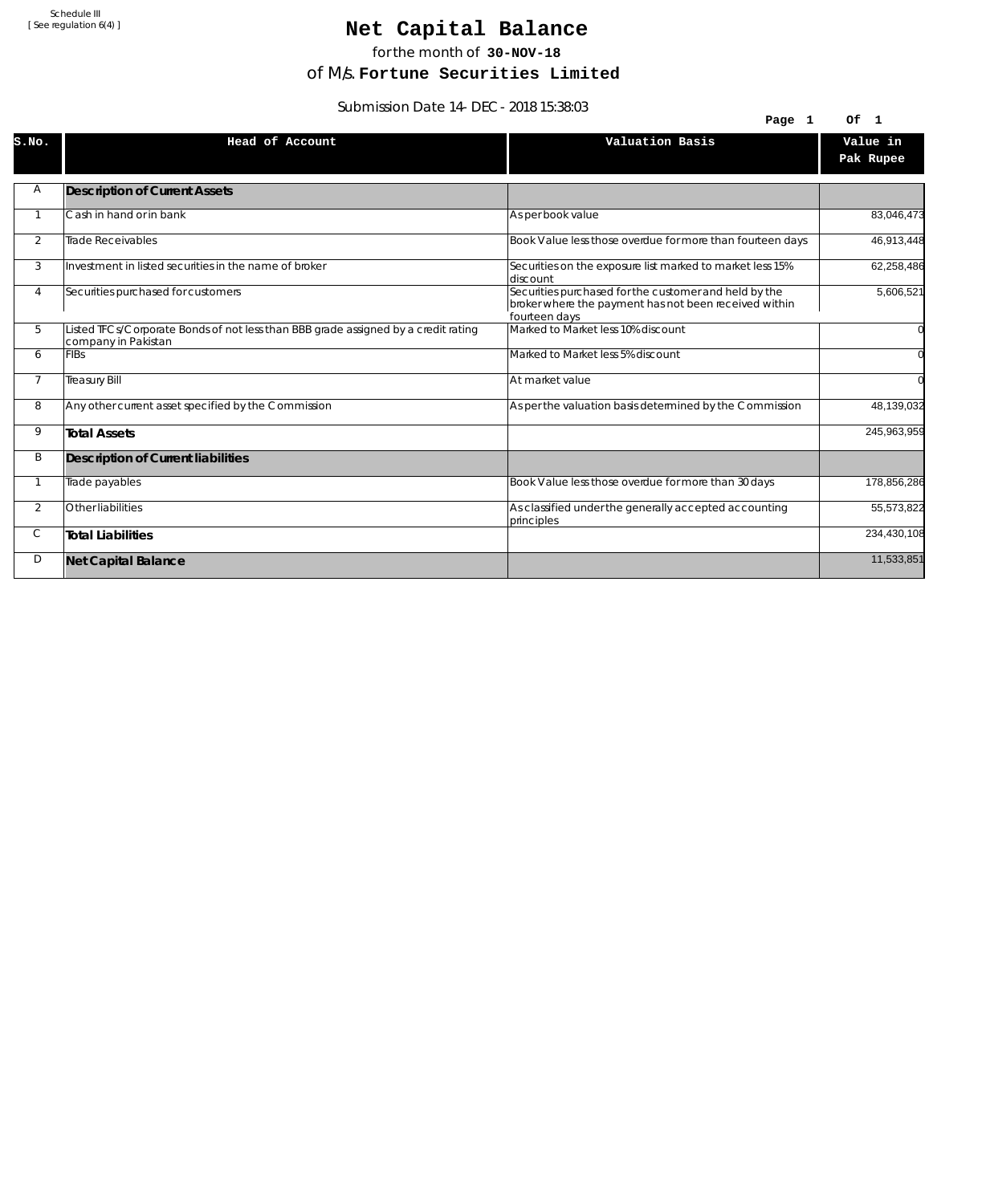## Net Capital Balance

for the month of **30-NOV-18**

of M/s. **Fortune Securities Limited**

Submission Date 14-DEC-2018 15:38:03

| 39001111331011 Date 14-DLC-2010 13.30.03 |                                                                                                           |                                                                                                                                 |                       |
|------------------------------------------|-----------------------------------------------------------------------------------------------------------|---------------------------------------------------------------------------------------------------------------------------------|-----------------------|
|                                          |                                                                                                           | Page 1                                                                                                                          | Of 1                  |
| S.NO.                                    | Head of Account                                                                                           | Valuation Basis                                                                                                                 | Value in<br>Pak Rupee |
| Α                                        | <b>Description of Current Assets</b>                                                                      |                                                                                                                                 |                       |
|                                          | Cash in hand or in bank                                                                                   | As per book value                                                                                                               | 83,046,473            |
| 2                                        | Trade Receivables                                                                                         | Book Value less those overdue for more than fourteen days                                                                       | 46,913,448            |
| 3                                        | Investment in listed securities in the name of broker                                                     | Securities on the exposure list marked to market less 15%<br>discount                                                           | 62,258,486            |
| 4                                        | Securities purchased for customers                                                                        | Securities purchased for the customer and held by the<br>broker where the payment has not been received within<br>fourteen days | 5,606,521             |
| 5                                        | Listed TFCs/Corporate Bonds of not less than BBB grade assigned by a credit rating<br>company in Pakistan | Marked to Market less 10% discount                                                                                              |                       |
| 6                                        | <b>FIBs</b>                                                                                               | Marked to Market less 5% discount                                                                                               |                       |
| $\overline{7}$                           | <b>Treasury Bill</b>                                                                                      | At market value                                                                                                                 | $\Omega$              |
| 8                                        | Any other current asset specified by the Commission                                                       | As per the valuation basis determined by the Commission                                                                         | 48,139,032            |
| 9                                        | <b>Total Assets</b>                                                                                       |                                                                                                                                 | 245,963,959           |
| B                                        | Description of Current liabilities                                                                        |                                                                                                                                 |                       |
|                                          | Trade payables                                                                                            | Book Value less those overdue for more than 30 days                                                                             | 178,856,286           |
| $\overline{2}$                           | Other liabilities                                                                                         | As classified under the generally accepted accounting<br>principles                                                             | 55,573,822            |
| С                                        | <b>Total Liabilities</b>                                                                                  |                                                                                                                                 | 234,430,108           |
| D                                        | <b>Net Capital Balance</b>                                                                                |                                                                                                                                 | 11,533,851            |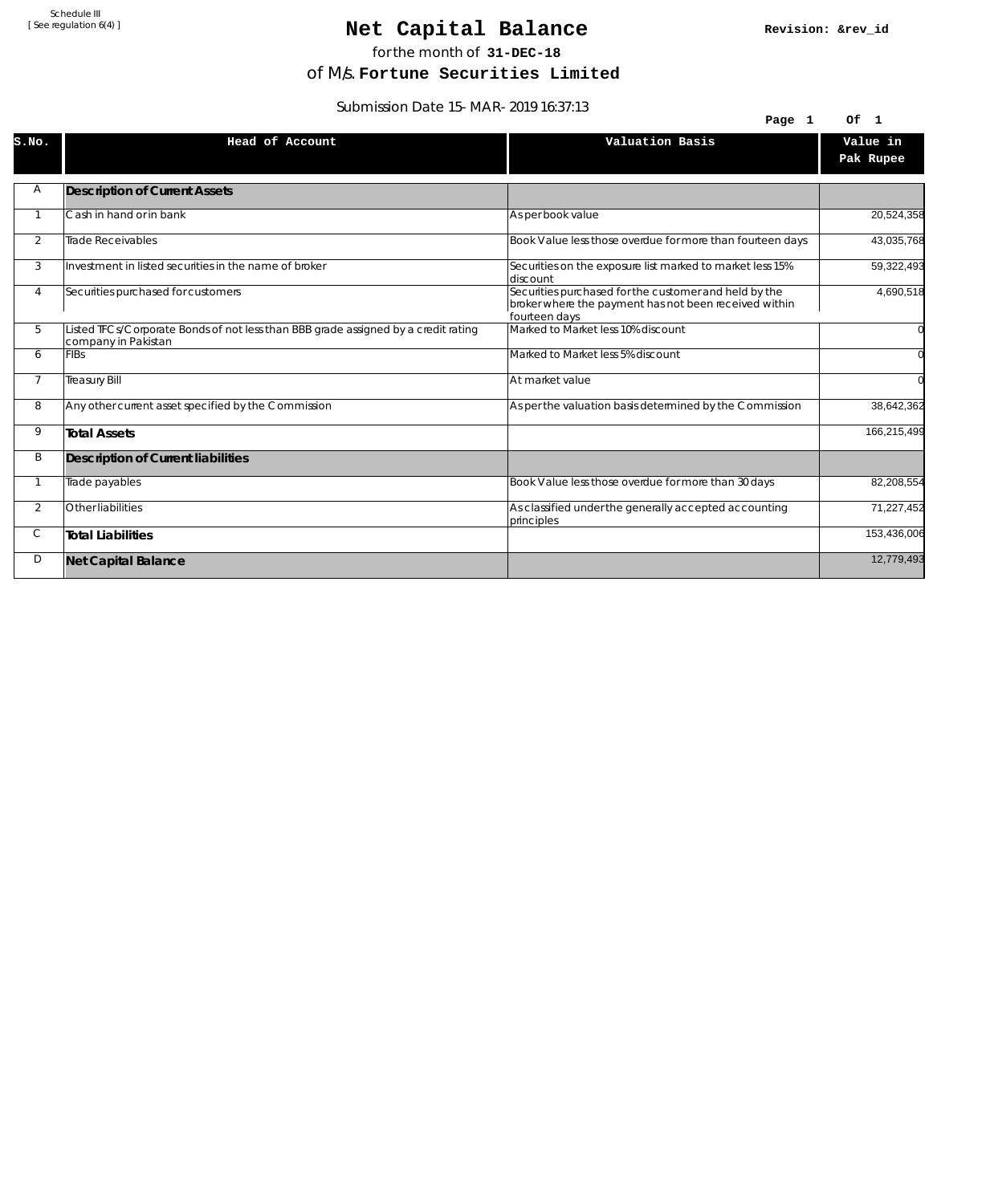### Net Capital Balance

for the month of **31-DEC-18**

of M/s. **Fortune Securities Limited**

Submission Date 15-MAR-2019 16:37:13

| $300111331011$ Date $13-101A1-2017$ $10.37.13$ |                                                                                                           |                                                                                                                                 |                |
|------------------------------------------------|-----------------------------------------------------------------------------------------------------------|---------------------------------------------------------------------------------------------------------------------------------|----------------|
|                                                |                                                                                                           | Page 1                                                                                                                          | Of 1           |
| S.NO.                                          | Head of Account                                                                                           | Valuation Basis                                                                                                                 | Value in       |
|                                                |                                                                                                           |                                                                                                                                 | Pak Rupee      |
| Α                                              | <b>Description of Current Assets</b>                                                                      |                                                                                                                                 |                |
|                                                |                                                                                                           |                                                                                                                                 |                |
|                                                | Cash in hand or in bank                                                                                   | As per book value                                                                                                               | 20,524,358     |
| 2                                              | <b>Trade Receivables</b>                                                                                  | Book Value less those overdue for more than fourteen days                                                                       | 43,035,768     |
| 3                                              | Investment in listed securities in the name of broker                                                     | Securities on the exposure list marked to market less 15%<br>discount                                                           | 59,322,493     |
| 4                                              | Securities purchased for customers                                                                        | Securities purchased for the customer and held by the<br>broker where the payment has not been received within<br>fourteen days | 4,690,518      |
| 5                                              | Listed TFCs/Corporate Bonds of not less than BBB grade assigned by a credit rating<br>company in Pakistan | Marked to Market less 10% discount                                                                                              | $\overline{0}$ |
| 6                                              | <b>FIBs</b>                                                                                               | Marked to Market less 5% discount                                                                                               | $\overline{0}$ |
| $\overline{7}$                                 | <b>Treasury Bill</b>                                                                                      | At market value                                                                                                                 | $\Omega$       |
| 8                                              | Any other current asset specified by the Commission                                                       | As per the valuation basis determined by the Commission                                                                         | 38,642,362     |
| 9                                              | <b>Total Assets</b>                                                                                       |                                                                                                                                 | 166,215,499    |
| B                                              | Description of Current liabilities                                                                        |                                                                                                                                 |                |
|                                                | Trade payables                                                                                            | Book Value less those overdue for more than 30 days                                                                             | 82,208,554     |
| $\overline{2}$                                 | Other liabilities                                                                                         | As classified under the generally accepted accounting<br>principles                                                             | 71,227,452     |
| С                                              | <b>Total Liabilities</b>                                                                                  |                                                                                                                                 | 153,436,006    |
| D                                              | <b>Net Capital Balance</b>                                                                                |                                                                                                                                 | 12,779,493     |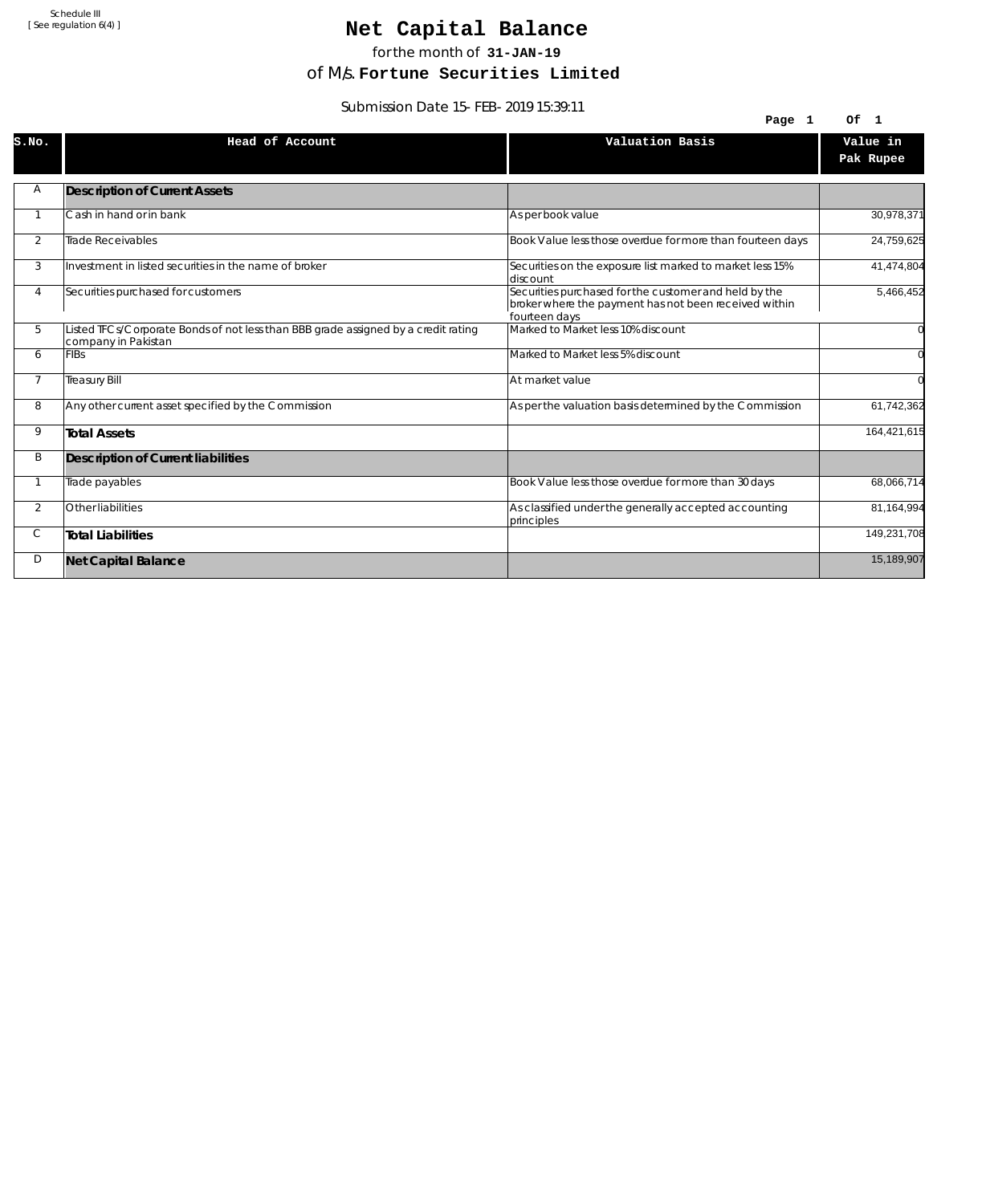## Net Capital Balance

for the month of **31-JAN-19**

of M/s. **Fortune Securities Limited**

Submission Date 15-FEB-2019 15:39:11

|                | <u>JUDITIISJOH DATU TJ-FLD-Z0T7 TJ.J7.TT</u>                                                              | Page 1                                                                                                                          | Of 1                  |
|----------------|-----------------------------------------------------------------------------------------------------------|---------------------------------------------------------------------------------------------------------------------------------|-----------------------|
| S.NO.          | Head of Account                                                                                           | Valuation Basis                                                                                                                 | Value in<br>Pak Rupee |
| Α              | <b>Description of Current Assets</b>                                                                      |                                                                                                                                 |                       |
|                | Cash in hand or in bank                                                                                   | As per book value                                                                                                               | 30,978,371            |
| $\overline{2}$ | Trade Receivables                                                                                         | Book Value less those overdue for more than fourteen days                                                                       | 24,759,625            |
| 3              | Investment in listed securities in the name of broker                                                     | Securities on the exposure list marked to market less 15%<br>ldiscount                                                          | 41,474,804            |
| 4              | Securities purchased for customers                                                                        | Securities purchased for the customer and held by the<br>broker where the payment has not been received within<br>fourteen days | 5,466,452             |
| 5              | Listed TFCs/Corporate Bonds of not less than BBB grade assigned by a credit rating<br>company in Pakistan | Marked to Market less 10% discount                                                                                              |                       |
| 6              | <b>FIBs</b>                                                                                               | Marked to Market less 5% discount                                                                                               |                       |
| $\overline{7}$ | <b>Treasury Bill</b>                                                                                      | At market value                                                                                                                 |                       |
| 8              | Any other current asset specified by the Commission                                                       | As per the valuation basis determined by the Commission                                                                         | 61,742,362            |
| 9              | <b>Total Assets</b>                                                                                       |                                                                                                                                 | 164,421,615           |
| Β              | Description of Current liabilities                                                                        |                                                                                                                                 |                       |
|                | Trade payables                                                                                            | Book Value less those overdue for more than 30 days                                                                             | 68,066,714            |
| $\overline{2}$ | Other liabilities                                                                                         | As classified under the generally accepted accounting<br>principles                                                             | 81,164,994            |
| С              | <b>Total Liabilities</b>                                                                                  |                                                                                                                                 | 149,231,708           |
| D              | <b>Net Capital Balance</b>                                                                                |                                                                                                                                 | 15,189,907            |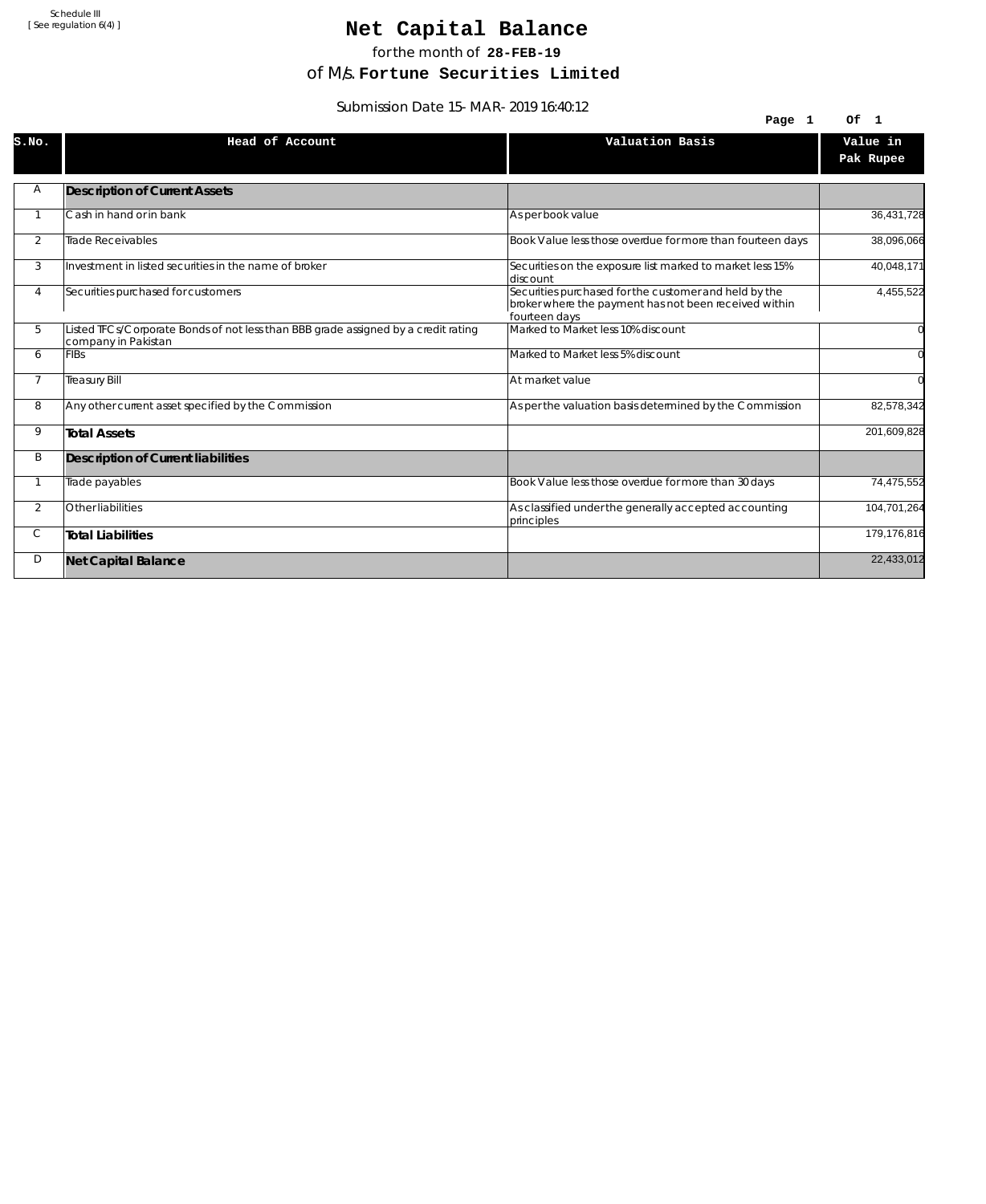## Net Capital Balance

for the month of **28-FEB-19**

of M/s. **Fortune Securities Limited**

Submission Date 15-MAR-2019 16:40:12

| $300111331011$ Date $13$ -MAR-2017 10.40.12 |                                                                                                           |                                                                                                                                 |                       |
|---------------------------------------------|-----------------------------------------------------------------------------------------------------------|---------------------------------------------------------------------------------------------------------------------------------|-----------------------|
|                                             |                                                                                                           | Page 1                                                                                                                          | Of 1                  |
| S.NO.                                       | Head of Account                                                                                           | Valuation Basis                                                                                                                 | Value in<br>Pak Rupee |
| Α                                           | <b>Description of Current Assets</b>                                                                      |                                                                                                                                 |                       |
|                                             |                                                                                                           |                                                                                                                                 |                       |
|                                             | Cash in hand or in bank                                                                                   | As per book value                                                                                                               | 36,431,728            |
| 2                                           | Trade Receivables                                                                                         | Book Value less those overdue for more than fourteen days                                                                       | 38,096,066            |
| 3                                           | Investment in listed securities in the name of broker                                                     | Securities on the exposure list marked to market less 15%<br>ldiscount                                                          | 40,048,171            |
| 4                                           | Securities purchased for customers                                                                        | Securities purchased for the customer and held by the<br>broker where the payment has not been received within<br>fourteen days | 4,455,522             |
| 5                                           | Listed TFCs/Corporate Bonds of not less than BBB grade assigned by a credit rating<br>company in Pakistan | Marked to Market less 10% discount                                                                                              |                       |
| 6                                           | <b>FIBs</b>                                                                                               | Marked to Market less 5% discount                                                                                               |                       |
| $\overline{7}$                              | <b>Treasury Bill</b>                                                                                      | At market value                                                                                                                 |                       |
| 8                                           | Any other current asset specified by the Commission                                                       | As per the valuation basis determined by the Commission                                                                         | 82,578,342            |
| 9                                           | <b>Total Assets</b>                                                                                       |                                                                                                                                 | 201,609,828           |
| B                                           | Description of Current liabilities                                                                        |                                                                                                                                 |                       |
|                                             | Trade payables                                                                                            | Book Value less those overdue for more than 30 days                                                                             | 74,475,552            |
| $\overline{2}$                              | Other liabilities                                                                                         | As classified under the generally accepted accounting<br>principles                                                             | 104,701,264           |
| С                                           | <b>Total Liabilities</b>                                                                                  |                                                                                                                                 | 179,176,816           |
| D                                           | <b>Net Capital Balance</b>                                                                                |                                                                                                                                 | 22,433,012            |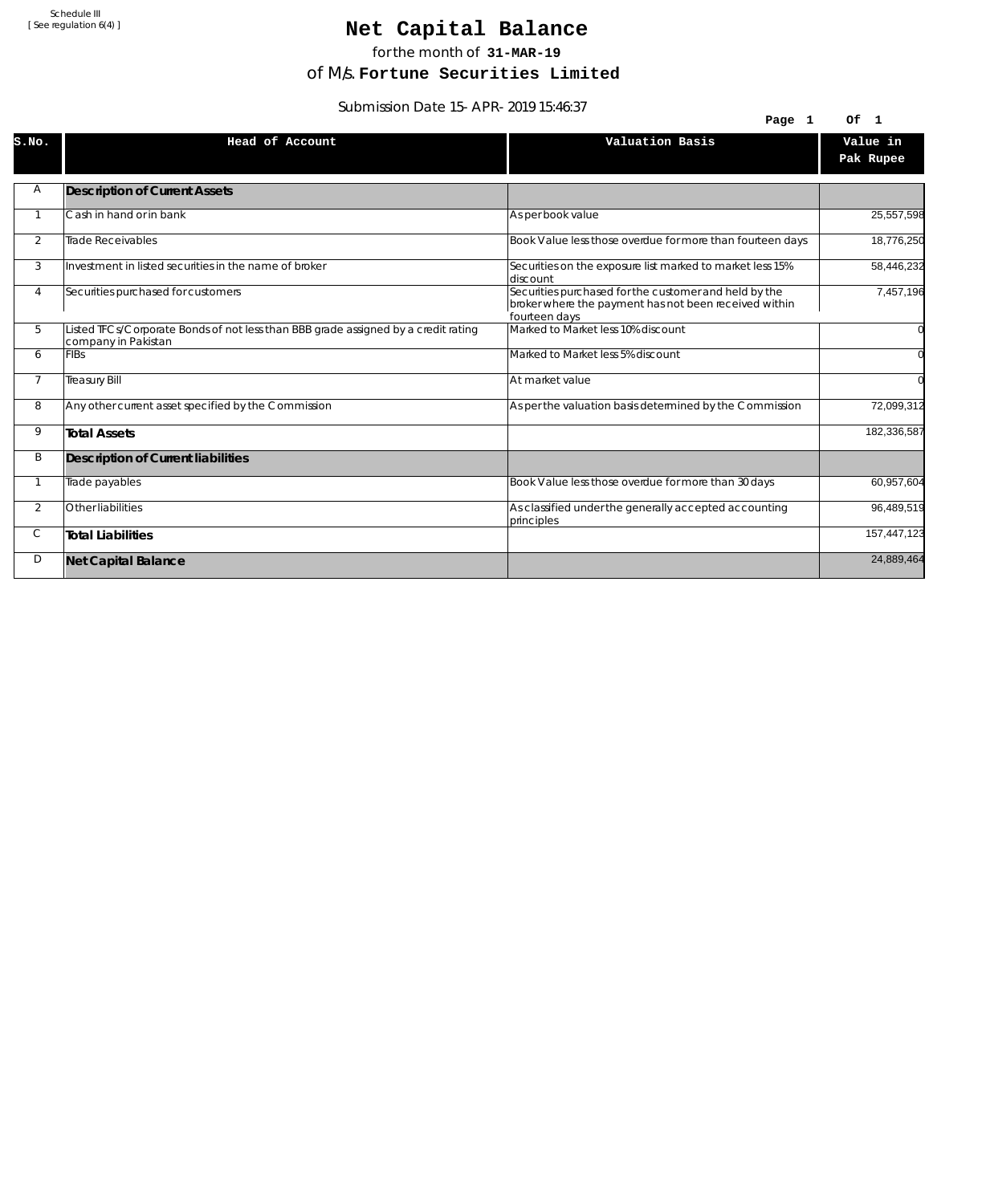## Net Capital Balance

for the month of **31-MAR-19**

of M/s. **Fortune Securities Limited**

Submission Date 15-APR-2019 15:46:37

| $300111331011$ Date 19-AFR-2017 19.40.37 |                                                                                                           |                                                                                                                                 |                       |
|------------------------------------------|-----------------------------------------------------------------------------------------------------------|---------------------------------------------------------------------------------------------------------------------------------|-----------------------|
|                                          |                                                                                                           | Page 1                                                                                                                          | Of 1                  |
| S.NO.                                    | Head of Account                                                                                           | Valuation Basis                                                                                                                 | Value in<br>Pak Rupee |
| Α                                        | <b>Description of Current Assets</b>                                                                      |                                                                                                                                 |                       |
|                                          | Cash in hand or in bank                                                                                   | As per book value                                                                                                               | 25,557,598            |
| 2                                        | Trade Receivables                                                                                         | Book Value less those overdue for more than fourteen days                                                                       | 18,776,250            |
| 3                                        | Investment in listed securities in the name of broker                                                     | Securities on the exposure list marked to market less 15%<br>discount                                                           | 58,446,232            |
| 4                                        | Securities purchased for customers                                                                        | Securities purchased for the customer and held by the<br>broker where the payment has not been received within<br>fourteen days | 7,457,196             |
| 5                                        | Listed TFCs/Corporate Bonds of not less than BBB grade assigned by a credit rating<br>company in Pakistan | Marked to Market less 10% discount                                                                                              |                       |
| 6                                        | <b>FIBs</b>                                                                                               | Marked to Market less 5% discount                                                                                               |                       |
| $\overline{7}$                           | <b>Treasury Bill</b>                                                                                      | At market value                                                                                                                 | $\Omega$              |
| 8                                        | Any other current asset specified by the Commission                                                       | As per the valuation basis determined by the Commission                                                                         | 72,099,312            |
| 9                                        | <b>Total Assets</b>                                                                                       |                                                                                                                                 | 182,336,587           |
| B                                        | Description of Current liabilities                                                                        |                                                                                                                                 |                       |
|                                          | Trade payables                                                                                            | Book Value less those overdue for more than 30 days                                                                             | 60,957,604            |
| $\overline{2}$                           | Other liabilities                                                                                         | As classified under the generally accepted accounting<br>principles                                                             | 96,489,519            |
| С                                        | <b>Total Liabilities</b>                                                                                  |                                                                                                                                 | 157,447,123           |
| D                                        | <b>Net Capital Balance</b>                                                                                |                                                                                                                                 | 24,889,464            |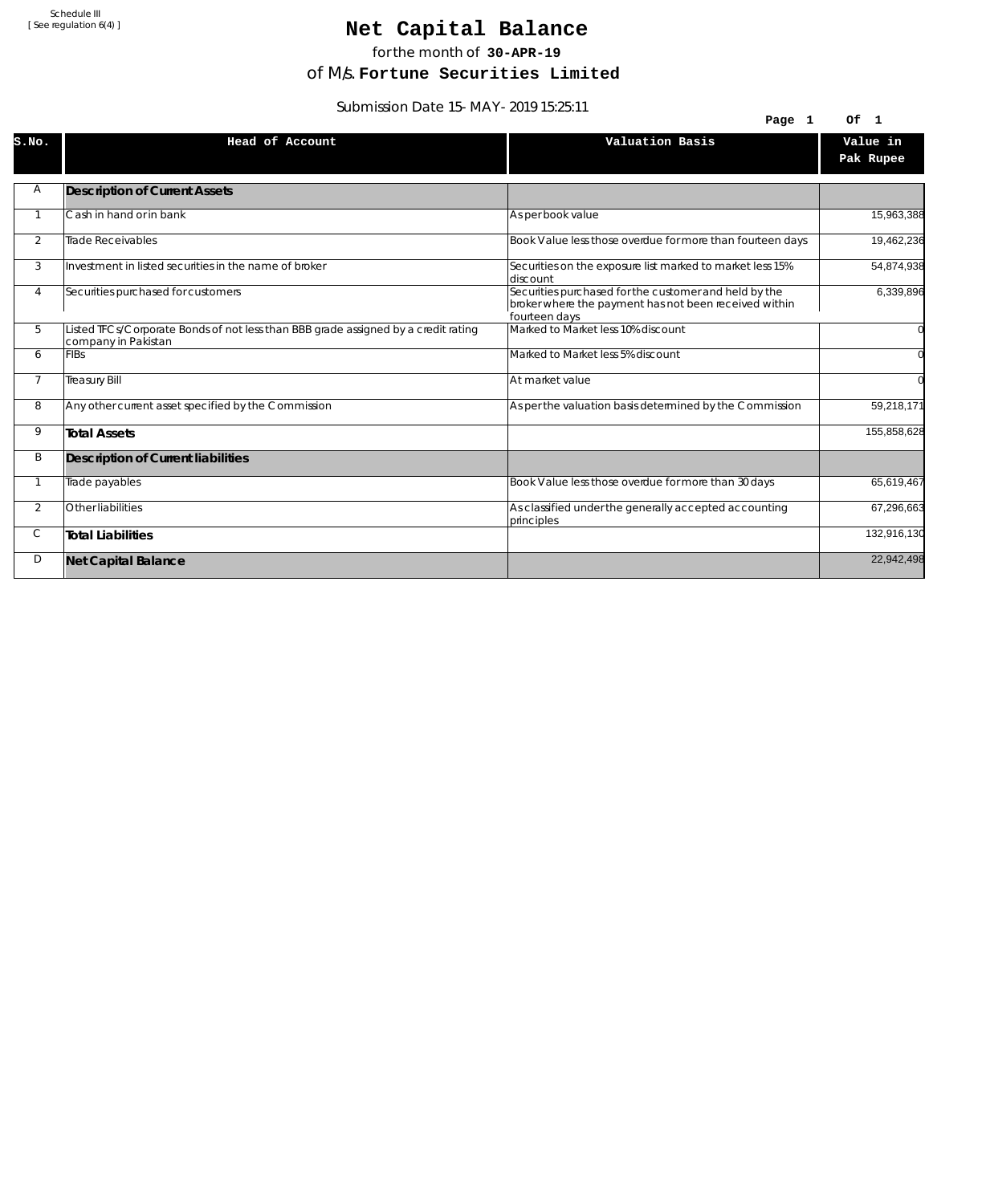## Net Capital Balance

for the month of **30-APR-19**

of M/s. **Fortune Securities Limited**

Submission Date 15-MAY-2019 15:25:11

| $300111331011$ Date 19-MAT-2017 19.29.11 |                                                                                                           |                                                                                                                                 |                       |
|------------------------------------------|-----------------------------------------------------------------------------------------------------------|---------------------------------------------------------------------------------------------------------------------------------|-----------------------|
|                                          |                                                                                                           | Page 1                                                                                                                          | Of<br>$\blacksquare$  |
| S.NO.                                    | Head of Account                                                                                           | Valuation Basis                                                                                                                 | Value in<br>Pak Rupee |
| Α                                        | <b>Description of Current Assets</b>                                                                      |                                                                                                                                 |                       |
|                                          | Cash in hand or in bank                                                                                   | As per book value                                                                                                               | 15,963,388            |
| 2                                        | Trade Receivables                                                                                         | Book Value less those overdue for more than fourteen days                                                                       | 19,462,236            |
| 3                                        | Investment in listed securities in the name of broker                                                     | Securities on the exposure list marked to market less 15%<br>ldiscount                                                          | 54,874,938            |
| 4                                        | Securities purchased for customers                                                                        | Securities purchased for the customer and held by the<br>broker where the payment has not been received within<br>fourteen days | 6,339,896             |
| 5                                        | Listed TFCs/Corporate Bonds of not less than BBB grade assigned by a credit rating<br>company in Pakistan | Marked to Market less 10% discount                                                                                              |                       |
| 6                                        | <b>FIBs</b>                                                                                               | Marked to Market less 5% discount                                                                                               |                       |
| $\overline{7}$                           | <b>Treasury Bill</b>                                                                                      | At market value                                                                                                                 |                       |
| 8                                        | Any other current asset specified by the Commission                                                       | As per the valuation basis determined by the Commission                                                                         | 59,218,171            |
| 9                                        | <b>Total Assets</b>                                                                                       |                                                                                                                                 | 155,858,628           |
| B                                        | Description of Current liabilities                                                                        |                                                                                                                                 |                       |
|                                          | Trade payables                                                                                            | Book Value less those overdue for more than 30 days                                                                             | 65,619,467            |
| $\overline{2}$                           | Other liabilities                                                                                         | As classified under the generally accepted accounting<br>principles                                                             | 67,296,663            |
| С                                        | <b>Total Liabilities</b>                                                                                  |                                                                                                                                 | 132,916,130           |
| D                                        | <b>Net Capital Balance</b>                                                                                |                                                                                                                                 | 22,942,498            |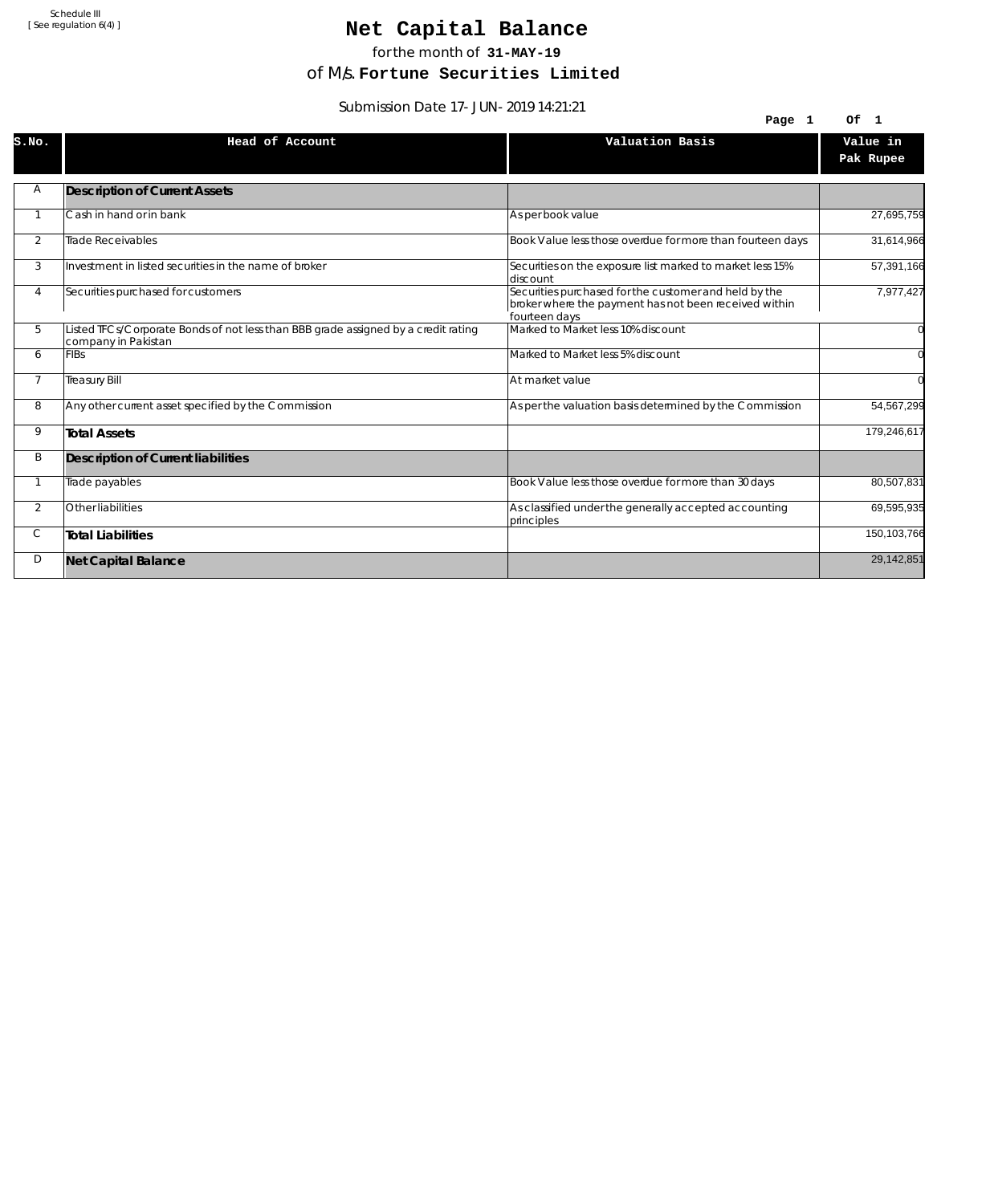## Net Capital Balance

for the month of **31-MAY-19**

of M/s. **Fortune Securities Limited**

Submission Date 17-JUN-2019 14:21:21

| <u>JUDITIISJUITUALE I I-JUN-ZUT7 14.21.21</u> |                                                                                                           |                                                                                                                                 |                       |
|-----------------------------------------------|-----------------------------------------------------------------------------------------------------------|---------------------------------------------------------------------------------------------------------------------------------|-----------------------|
|                                               |                                                                                                           | Page 1                                                                                                                          | Of 1                  |
| S.NO.                                         | Head of Account                                                                                           | Valuation Basis                                                                                                                 | Value in<br>Pak Rupee |
| Α                                             | <b>Description of Current Assets</b>                                                                      |                                                                                                                                 |                       |
|                                               | Cash in hand or in bank                                                                                   | As per book value                                                                                                               | 27,695,759            |
| 2                                             | <b>Trade Receivables</b>                                                                                  | Book Value less those overdue for more than fourteen days                                                                       | 31,614,966            |
| 3                                             | Investment in listed securities in the name of broker                                                     | Securities on the exposure list marked to market less 15%<br>discount                                                           | 57,391,166            |
| 4                                             | Securities purchased for customers                                                                        | Securities purchased for the customer and held by the<br>broker where the payment has not been received within<br>fourteen days | 7,977,427             |
| 5                                             | Listed TFCs/Corporate Bonds of not less than BBB grade assigned by a credit rating<br>company in Pakistan | Marked to Market less 10% discount                                                                                              |                       |
| 6                                             | <b>FIBs</b>                                                                                               | Marked to Market less 5% discount                                                                                               |                       |
| $\overline{7}$                                | <b>Treasury Bill</b>                                                                                      | At market value                                                                                                                 |                       |
| 8                                             | Any other current asset specified by the Commission                                                       | As per the valuation basis determined by the Commission                                                                         | 54,567,299            |
| 9                                             | <b>Total Assets</b>                                                                                       |                                                                                                                                 | 179,246,617           |
| B                                             | Description of Current liabilities                                                                        |                                                                                                                                 |                       |
|                                               | Trade payables                                                                                            | Book Value less those overdue for more than 30 days                                                                             | 80,507,831            |
| $\overline{2}$                                | Other liabilities                                                                                         | As classified under the generally accepted accounting<br>principles                                                             | 69,595,935            |
| С                                             | <b>Total Liabilities</b>                                                                                  |                                                                                                                                 | 150,103,766           |
| D                                             | <b>Net Capital Balance</b>                                                                                |                                                                                                                                 | 29,142,851            |